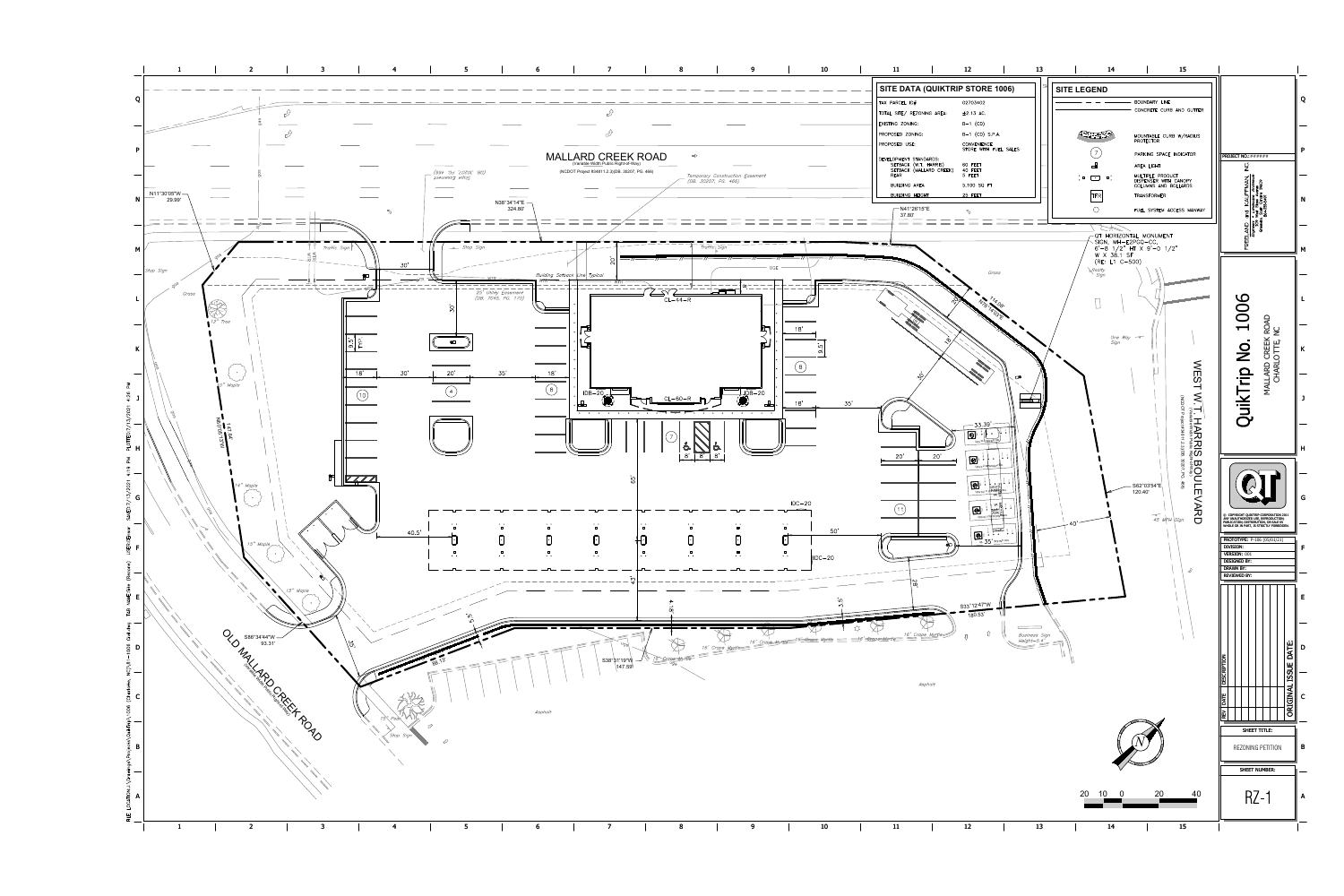